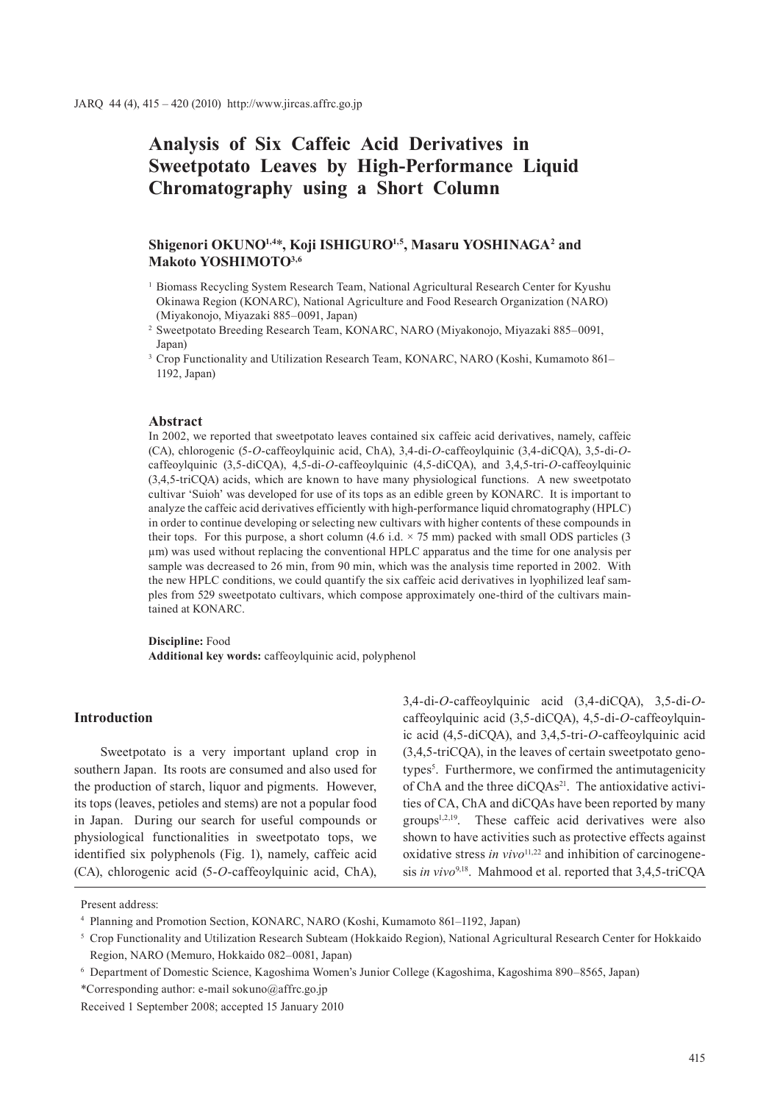# **Analysis of Six Caffeic Acid Derivatives in Sweetpotato Leaves by High-Performance Liquid Chromatography using a Short Column**

# **Shigenori OKUNO1,4**\***, Koji ISHIGURO1,5, Masaru YOSHINAGA2 and Makoto YOSHIMOTO3,6**

- <sup>1</sup> Biomass Recycling System Research Team, National Agricultural Research Center for Kyushu Okinawa Region (KONARC), National Agriculture and Food Research Organization (NARO) (Miyakonojo, Miyazaki 885–0091, Japan)
- <sup>2</sup> Sweetpotato Breeding Research Team, KONARC, NARO (Miyakonojo, Miyazaki 885–0091, Japan)
- <sup>3</sup> Crop Functionality and Utilization Research Team, KONARC, NARO (Koshi, Kumamoto 861– 1192, Japan)

#### **Abstract**

In 2002, we reported that sweetpotato leaves contained six caffeic acid derivatives, namely, caffeic (CA), chlorogenic (5-*O*-caffeoylquinic acid, ChA), 3,4-di-*O*-caffeoylquinic (3,4-diCQA), 3,5-di-*O*caffeoylquinic (3,5-diCQA), 4,5-di-*O*-caffeoylquinic (4,5-diCQA), and 3,4,5-tri-*O*-caffeoylquinic (3,4,5-triCQA) acids, which are known to have many physiological functions. A new sweetpotato cultivar 'Suioh' was developed for use of its tops as an edible green by KONARC. It is important to analyze the caffeic acid derivatives efficiently with high-performance liquid chromatography (HPLC) in order to continue developing or selecting new cultivars with higher contents of these compounds in their tops. For this purpose, a short column (4.6 i.d.  $\times$  75 mm) packed with small ODS particles (3 µm) was used without replacing the conventional HPLC apparatus and the time for one analysis per sample was decreased to 26 min, from 90 min, which was the analysis time reported in 2002. With the new HPLC conditions, we could quantify the six caffeic acid derivatives in lyophilized leaf samples from 529 sweetpotato cultivars, which compose approximately one-third of the cultivars maintained at KONARC.

**Discipline:** Food **Additional key words:** caffeoylquinic acid, polyphenol

## **Introduction**

Sweetpotato is a very important upland crop in southern Japan. Its roots are consumed and also used for the production of starch, liquor and pigments. However, its tops (leaves, petioles and stems) are not a popular food in Japan. During our search for useful compounds or physiological functionalities in sweetpotato tops, we identified six polyphenols (Fig. 1), namely, caffeic acid (CA), chlorogenic acid (5-*O*-caffeoylquinic acid, ChA),

3,4-di-*O*-caffeoylquinic acid (3,4-diCQA), 3,5-di-*O*caffeoylquinic acid (3,5-diCQA), 4,5-di-*O*-caffeoylquinic acid (4,5-diCQA), and 3,4,5-tri-*O*-caffeoylquinic acid (3,4,5-triCQA), in the leaves of certain sweetpotato genotypes<sup>5</sup>. Furthermore, we confirmed the antimutagenicity of ChA and the three diCQAs<sup>21</sup>. The antioxidative activities of CA, ChA and diCQAs have been reported by many  $groups<sup>1,2,19</sup>$ . These caffeic acid derivatives were also shown to have activities such as protective effects against oxidative stress *in vivo*<sup>11,22</sup> and inhibition of carcinogenesis *in vivo*9,18. Mahmood et al. reported that 3,4,5-triCQA

Present address:

<sup>4</sup> Planning and Promotion Section, KONARC, NARO (Koshi, Kumamoto 861–1192, Japan)

<sup>5</sup> Crop Functionality and Utilization Research Subteam (Hokkaido Region), National Agricultural Research Center for Hokkaido Region, NARO (Memuro, Hokkaido 082–0081, Japan)

<sup>6</sup> Department of Domestic Science, Kagoshima Women's Junior College (Kagoshima, Kagoshima 890–8565, Japan)

<sup>\*</sup>Corresponding author: e-mail sokuno@affrc.go.jp

Received 1 September 2008; accepted 15 January 2010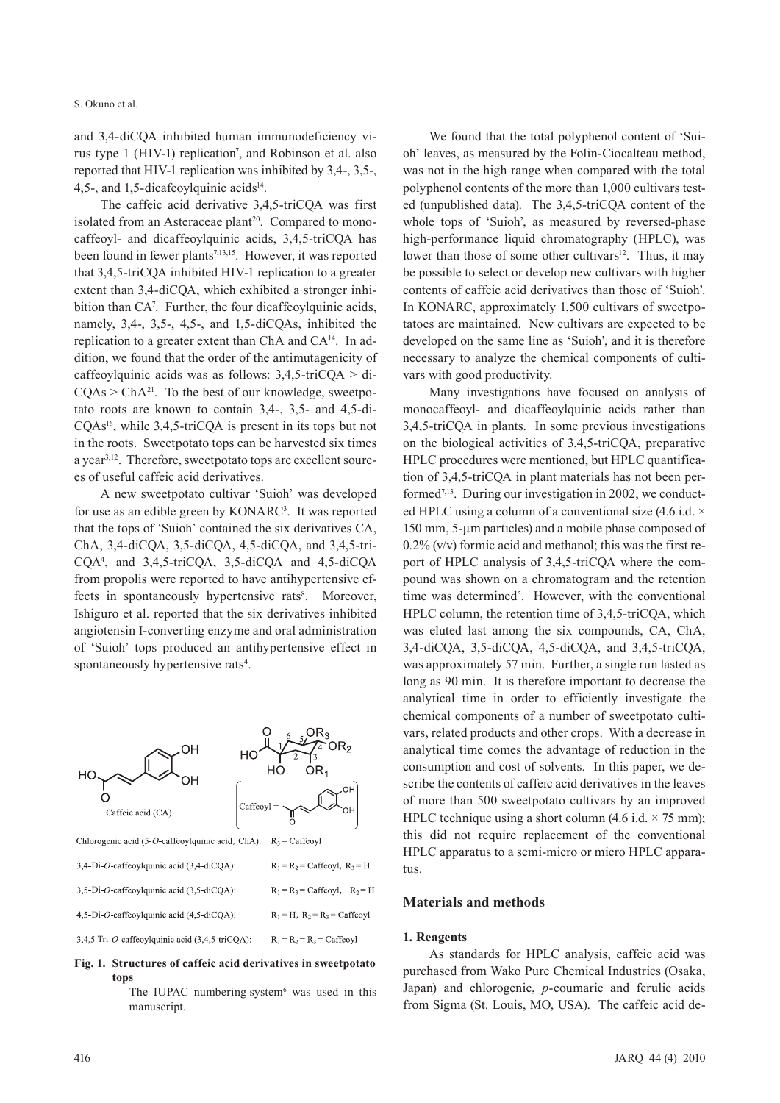#### S. Okuno et al.

and 3,4-diCQA inhibited human immunodeficiency virus type 1 (HIV-1) replication<sup>7</sup>, and Robinson et al. also reported that HIV-1 replication was inhibited by 3,4-, 3,5-, 4,5-, and 1,5-dicafeoylquinic acids $14$ .

The caffeic acid derivative 3,4,5-triCQA was first isolated from an Asteraceae plant<sup>20</sup>. Compared to monocaffeoyl- and dicaffeoylquinic acids, 3,4,5-triCQA has been found in fewer plants<sup>7,13,15</sup>. However, it was reported that 3,4,5-triCQA inhibited HIV-1 replication to a greater extent than 3,4-diCQA, which exhibited a stronger inhibition than CA<sup>7</sup>. Further, the four dicaffeoylquinic acids, namely, 3,4-, 3,5-, 4,5-, and 1,5-diCQAs, inhibited the replication to a greater extent than ChA and CA14. In addition, we found that the order of the antimutagenicity of caffeoylquinic acids was as follows:  $3,4,5-\text{triCQA} > \text{di}$  $CQAs > ChA<sup>21</sup>$ . To the best of our knowledge, sweetpotato roots are known to contain 3,4-, 3,5- and 4,5-di-CQAs16, while 3,4,5-triCQA is present in its tops but not in the roots. Sweetpotato tops can be harvested six times a year3,12. Therefore, sweetpotato tops are excellent sources of useful caffeic acid derivatives.

A new sweetpotato cultivar 'Suioh' was developed for use as an edible green by KONARC<sup>3</sup>. It was reported that the tops of 'Suioh' contained the six derivatives CA, ChA, 3,4-diCQA, 3,5-diCQA, 4,5-diCQA, and 3,4,5-tri-CQA4 , and 3,4,5-triCQA, 3,5-diCQA and 4,5-diCQA from propolis were reported to have antihypertensive effects in spontaneously hypertensive rats<sup>8</sup>. Moreover, Ishiguro et al. reported that the six derivatives inhibited angiotensin I-converting enzyme and oral administration of 'Suioh' tops produced an antihypertensive effect in spontaneously hypertensive rats<sup>4</sup>.



# **Fig. 1. Structures of caffeic acid derivatives in sweetpotato tops**

The IUPAC numbering system $6$  was used in this manuscript.

We found that the total polyphenol content of 'Suioh' leaves, as measured by the Folin-Ciocalteau method, was not in the high range when compared with the total polyphenol contents of the more than 1,000 cultivars tested (unpublished data). The 3,4,5-triCQA content of the whole tops of 'Suioh', as measured by reversed-phase high-performance liquid chromatography (HPLC), was lower than those of some other cultivars<sup>12</sup>. Thus, it may be possible to select or develop new cultivars with higher contents of caffeic acid derivatives than those of 'Suioh'. In KONARC, approximately 1,500 cultivars of sweetpotatoes are maintained. New cultivars are expected to be developed on the same line as 'Suioh', and it is therefore necessary to analyze the chemical components of cultivars with good productivity.

Many investigations have focused on analysis of monocaffeoyl- and dicaffeoylquinic acids rather than 3,4,5-triCQA in plants. In some previous investigations on the biological activities of 3,4,5-triCQA, preparative HPLC procedures were mentioned, but HPLC quantification of 3,4,5-triCQA in plant materials has not been performed<sup>7,13</sup>. During our investigation in 2002, we conducted HPLC using a column of a conventional size  $(4.6 \text{ i.d.} \times$ 150 mm, 5-µm particles) and a mobile phase composed of  $0.2\%$  (v/v) formic acid and methanol; this was the first report of HPLC analysis of 3,4,5-triCQA where the compound was shown on a chromatogram and the retention time was determined<sup>5</sup>. However, with the conventional HPLC column, the retention time of 3,4,5-triCQA, which was eluted last among the six compounds, CA, ChA, 3,4-diCQA, 3,5-diCQA, 4,5-diCQA, and 3,4,5-triCQA, was approximately 57 min. Further, a single run lasted as long as 90 min. It is therefore important to decrease the analytical time in order to efficiently investigate the chemical components of a number of sweetpotato cultivars, related products and other crops. With a decrease in analytical time comes the advantage of reduction in the consumption and cost of solvents. In this paper, we describe the contents of caffeic acid derivatives in the leaves of more than 500 sweetpotato cultivars by an improved HPLC technique using a short column (4.6 i.d.  $\times$  75 mm); this did not require replacement of the conventional HPLC apparatus to a semi-micro or micro HPLC apparatus.

#### **Materials and methods**

#### **1. Reagents**

As standards for HPLC analysis, caffeic acid was purchased from Wako Pure Chemical Industries (Osaka, Japan) and chlorogenic, *p*-coumaric and ferulic acids from Sigma (St. Louis, MO, USA). The caffeic acid de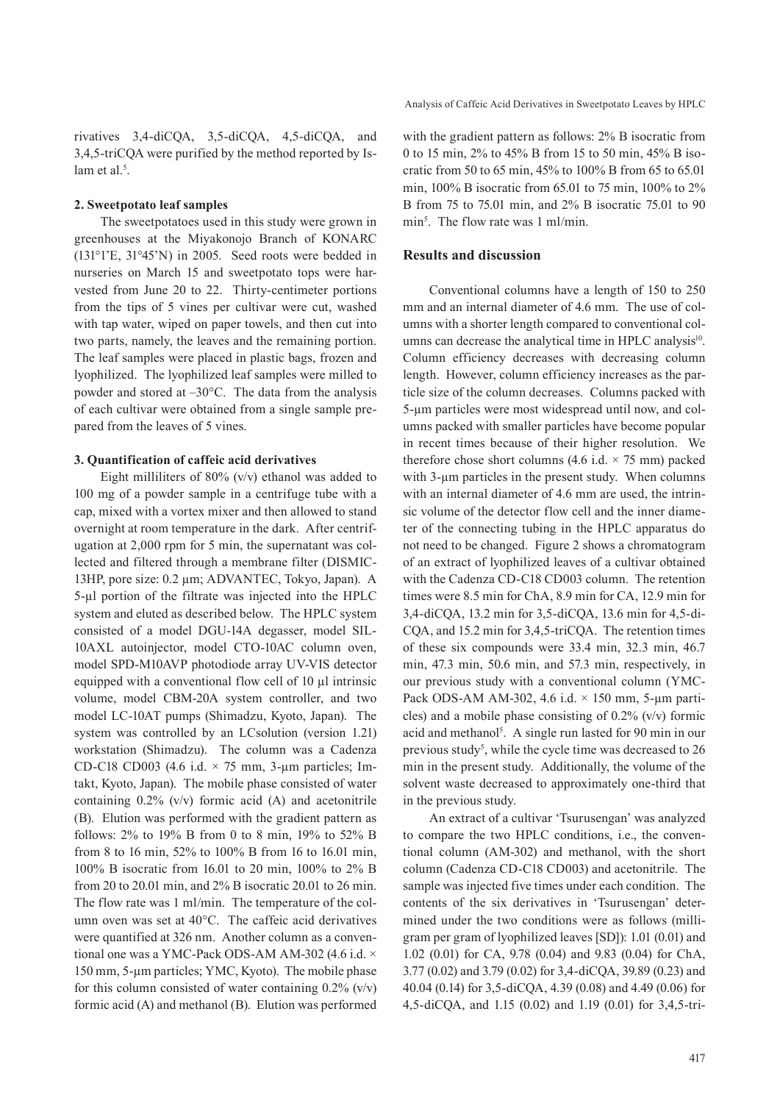rivatives 3,4-diCQA, 3,5-diCQA, 4,5-diCQA, and 3,4,5-triCQA were purified by the method reported by Islam et al.<sup>5</sup>.

## **2. Sweetpotato leaf samples**

The sweetpotatoes used in this study were grown in greenhouses at the Miyakonojo Branch of KONARC (131°1'E, 31°45'N) in 2005. Seed roots were bedded in nurseries on March 15 and sweetpotato tops were harvested from June 20 to 22. Thirty-centimeter portions from the tips of 5 vines per cultivar were cut, washed with tap water, wiped on paper towels, and then cut into two parts, namely, the leaves and the remaining portion. The leaf samples were placed in plastic bags, frozen and lyophilized. The lyophilized leaf samples were milled to powder and stored at –30°C. The data from the analysis of each cultivar were obtained from a single sample prepared from the leaves of 5 vines.

### **3. Quantification of caffeic acid derivatives**

Eight milliliters of  $80\%$  (v/v) ethanol was added to 100 mg of a powder sample in a centrifuge tube with a cap, mixed with a vortex mixer and then allowed to stand overnight at room temperature in the dark. After centrifugation at 2,000 rpm for 5 min, the supernatant was collected and filtered through a membrane filter (DISMIC-13HP, pore size: 0.2 µm; ADVANTEC, Tokyo, Japan). A 5-µl portion of the filtrate was injected into the HPLC system and eluted as described below. The HPLC system consisted of a model DGU-14A degasser, model SIL-10AXL autoinjector, model CTO-10AC column oven, model SPD-M10AVP photodiode array UV-VIS detector equipped with a conventional flow cell of 10 µl intrinsic volume, model CBM-20A system controller, and two model LC-10AT pumps (Shimadzu, Kyoto, Japan). The system was controlled by an LCsolution (version 1.21) workstation (Shimadzu). The column was a Cadenza CD-C18 CD003 (4.6 i.d.  $\times$  75 mm, 3-µm particles; Imtakt, Kyoto, Japan). The mobile phase consisted of water containing  $0.2\%$  (v/v) formic acid (A) and acetonitrile (B). Elution was performed with the gradient pattern as follows: 2% to 19% B from 0 to 8 min, 19% to 52% B from 8 to 16 min, 52% to 100% B from 16 to 16.01 min, 100% B isocratic from 16.01 to 20 min, 100% to 2% B from 20 to 20.01 min, and 2% B isocratic 20.01 to 26 min. The flow rate was 1 ml/min. The temperature of the column oven was set at 40°C. The caffeic acid derivatives were quantified at 326 nm. Another column as a conventional one was a YMC-Pack ODS-AM AM-302 (4.6 i.d. × 150 mm, 5-µm particles; YMC, Kyoto). The mobile phase for this column consisted of water containing  $0.2\%$  (v/v) formic acid (A) and methanol (B). Elution was performed with the gradient pattern as follows: 2% B isocratic from 0 to 15 min, 2% to 45% B from 15 to 50 min, 45% B isocratic from 50 to 65 min, 45% to 100% B from 65 to 65.01 min, 100% B isocratic from 65.01 to 75 min, 100% to 2% B from 75 to 75.01 min, and 2% B isocratic 75.01 to 90 min<sup>5</sup>. The flow rate was 1 ml/min.

## **Results and discussion**

Conventional columns have a length of 150 to 250 mm and an internal diameter of 4.6 mm. The use of columns with a shorter length compared to conventional columns can decrease the analytical time in HPLC analysis<sup>10</sup>. Column efficiency decreases with decreasing column length. However, column efficiency increases as the particle size of the column decreases. Columns packed with 5-µm particles were most widespread until now, and columns packed with smaller particles have become popular in recent times because of their higher resolution. We therefore chose short columns (4.6 i.d.  $\times$  75 mm) packed with 3-um particles in the present study. When columns with an internal diameter of 4.6 mm are used, the intrinsic volume of the detector flow cell and the inner diameter of the connecting tubing in the HPLC apparatus do not need to be changed. Figure 2 shows a chromatogram of an extract of lyophilized leaves of a cultivar obtained with the Cadenza CD-C18 CD003 column. The retention times were 8.5 min for ChA, 8.9 min for CA, 12.9 min for 3,4-diCQA, 13.2 min for 3,5-diCQA, 13.6 min for 4,5-di-CQA, and 15.2 min for 3,4,5-triCQA. The retention times of these six compounds were 33.4 min, 32.3 min, 46.7 min, 47.3 min, 50.6 min, and 57.3 min, respectively, in our previous study with a conventional column (YMC-Pack ODS-AM AM-302, 4.6 i.d.  $\times$  150 mm, 5-µm particles) and a mobile phase consisting of 0.2% (v/v) formic acid and methanol<sup>5</sup>. A single run lasted for 90 min in our previous study<sup>5</sup>, while the cycle time was decreased to 26 min in the present study. Additionally, the volume of the solvent waste decreased to approximately one-third that in the previous study.

An extract of a cultivar 'Tsurusengan' was analyzed to compare the two HPLC conditions, i.e., the conventional column (AM-302) and methanol, with the short column (Cadenza CD-C18 CD003) and acetonitrile. The sample was injected five times under each condition. The contents of the six derivatives in 'Tsurusengan' determined under the two conditions were as follows (milligram per gram of lyophilized leaves [SD]): 1.01 (0.01) and 1.02 (0.01) for CA, 9.78 (0.04) and 9.83 (0.04) for ChA, 3.77 (0.02) and 3.79 (0.02) for 3,4-diCQA, 39.89 (0.23) and 40.04 (0.14) for 3,5-diCQA, 4.39 (0.08) and 4.49 (0.06) for 4,5-diCQA, and 1.15 (0.02) and 1.19 (0.01) for 3,4,5-tri-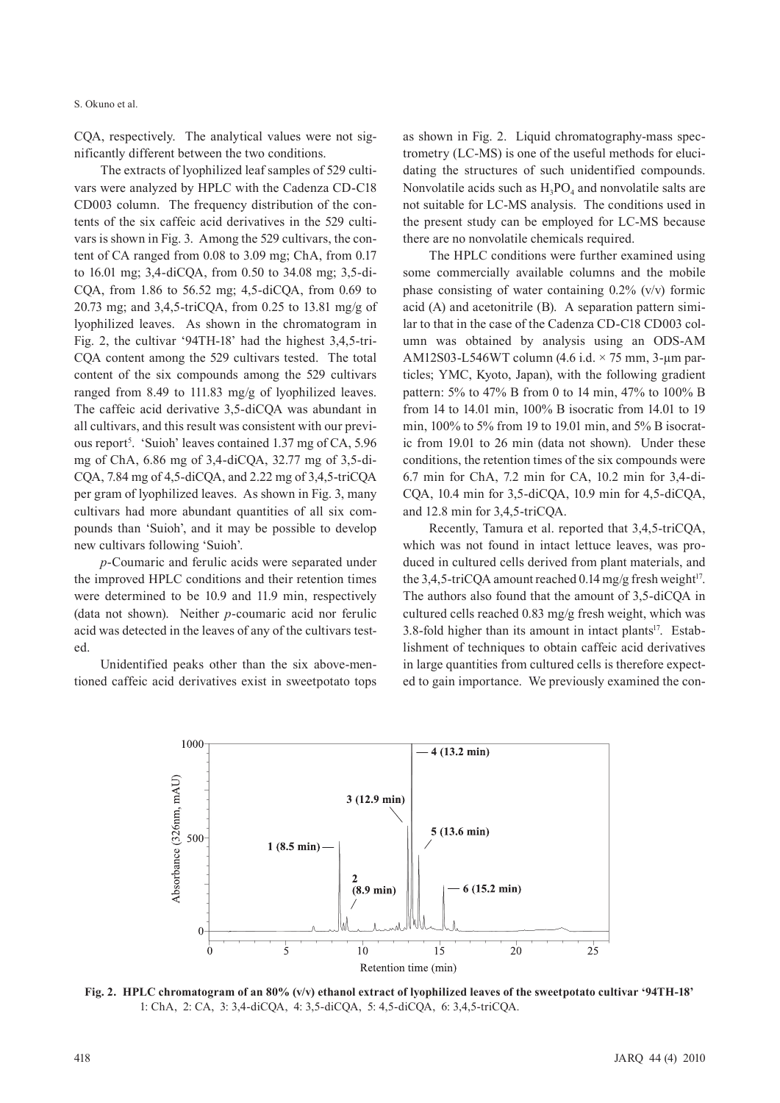#### S. Okuno et al.

CQA, respectively. The analytical values were not significantly different between the two conditions.

The extracts of lyophilized leaf samples of 529 cultivars were analyzed by HPLC with the Cadenza CD-C18 CD003 column. The frequency distribution of the contents of the six caffeic acid derivatives in the 529 cultivars is shown in Fig. 3. Among the 529 cultivars, the content of CA ranged from 0.08 to 3.09 mg; ChA, from 0.17 to 16.01 mg; 3,4-diCQA, from 0.50 to 34.08 mg; 3,5-di-CQA, from 1.86 to 56.52 mg;  $4,5$ -diCQA, from 0.69 to 20.73 mg; and 3,4,5-triCQA, from 0.25 to 13.81 mg/g of lyophilized leaves. As shown in the chromatogram in Fig. 2, the cultivar '94TH-18' had the highest 3,4,5-tri-CQA content among the 529 cultivars tested. The total content of the six compounds among the 529 cultivars ranged from 8.49 to 111.83 mg/g of lyophilized leaves. The caffeic acid derivative 3,5-diCQA was abundant in all cultivars, and this result was consistent with our previous report<sup>5</sup>. 'Suioh' leaves contained 1.37 mg of CA, 5.96 mg of ChA, 6.86 mg of 3,4-diCQA, 32.77 mg of 3,5-di-CQA, 7.84 mg of 4,5-diCQA, and 2.22 mg of 3,4,5-triCQA per gram of lyophilized leaves. As shown in Fig. 3, many cultivars had more abundant quantities of all six compounds than 'Suioh', and it may be possible to develop new cultivars following 'Suioh'.

*p*-Coumaric and ferulic acids were separated under the improved HPLC conditions and their retention times were determined to be 10.9 and 11.9 min, respectively (data not shown). Neither *p*-coumaric acid nor ferulic acid was detected in the leaves of any of the cultivars tested.

Unidentified peaks other than the six above-mentioned caffeic acid derivatives exist in sweetpotato tops as shown in Fig. 2. Liquid chromatography-mass spectrometry (LC-MS) is one of the useful methods for elucidating the structures of such unidentified compounds. Nonvolatile acids such as  $H_3PO_4$  and nonvolatile salts are not suitable for LC-MS analysis. The conditions used in the present study can be employed for LC-MS because there are no nonvolatile chemicals required.

The HPLC conditions were further examined using some commercially available columns and the mobile phase consisting of water containing 0.2% (v/v) formic acid (A) and acetonitrile (B). A separation pattern similar to that in the case of the Cadenza CD-C18 CD003 column was obtained by analysis using an ODS-AM AM12S03-L546WT column (4.6 i.d. × 75 mm, 3-µm particles; YMC, Kyoto, Japan), with the following gradient pattern: 5% to 47% B from 0 to 14 min, 47% to 100% B from 14 to 14.01 min, 100% B isocratic from 14.01 to 19 min, 100% to 5% from 19 to 19.01 min, and 5% B isocratic from 19.01 to 26 min (data not shown). Under these conditions, the retention times of the six compounds were 6.7 min for ChA, 7.2 min for CA, 10.2 min for 3,4-di-CQA, 10.4 min for 3,5-diCQA, 10.9 min for 4,5-diCQA, and 12.8 min for 3,4,5-triCQA.

Recently, Tamura et al. reported that 3,4,5-triCQA, which was not found in intact lettuce leaves, was produced in cultured cells derived from plant materials, and the 3,4,5-triCQA amount reached 0.14 mg/g fresh weight<sup>17</sup>. The authors also found that the amount of 3,5-diCQA in cultured cells reached 0.83 mg/g fresh weight, which was 3.8-fold higher than its amount in intact plants $17$ . Establishment of techniques to obtain caffeic acid derivatives in large quantities from cultured cells is therefore expected to gain importance. We previously examined the con-



**Fig. 2. HPLC chromatogram of an 80% (v/v) ethanol extract of lyophilized leaves of the sweetpotato cultivar '94TH-18'** 1: ChA, 2: CA, 3: 3,4-diCQA, 4: 3,5-diCQA, 5: 4,5-diCQA, 6: 3,4,5-triCQA.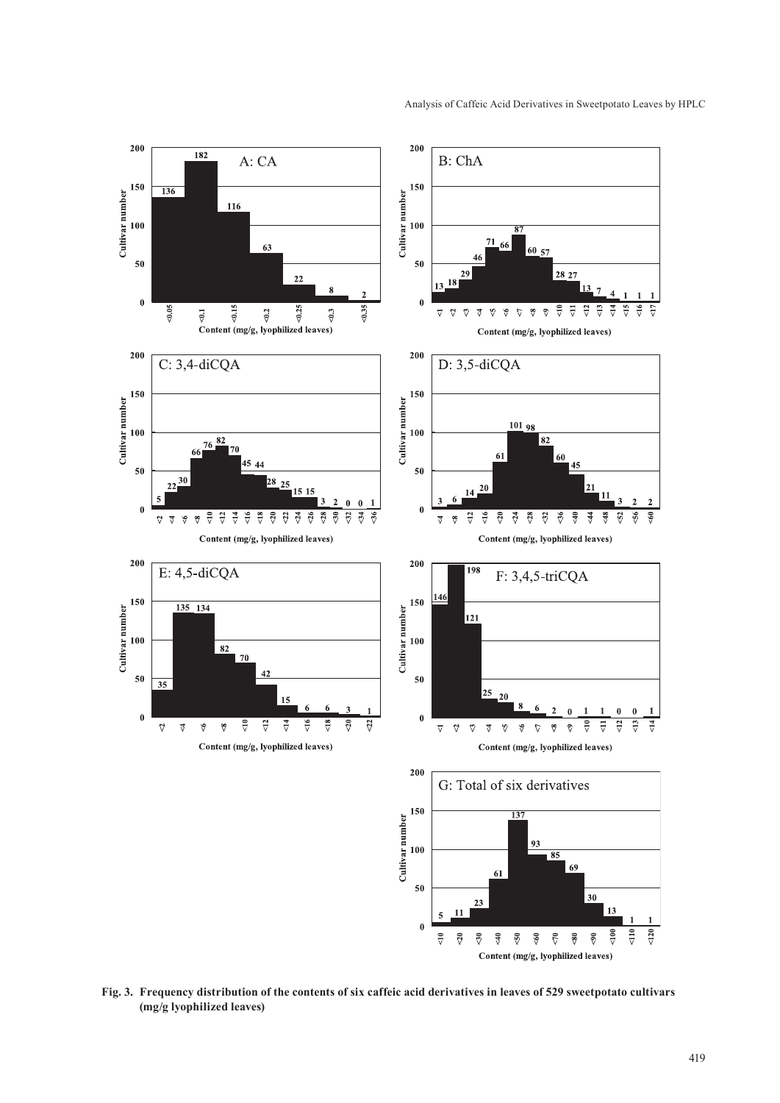

**Fig. 3. Frequency distribution of the contents of six caffeic acid derivatives in leaves of 529 sweetpotato cultivars (mg/g lyophilized leaves)**